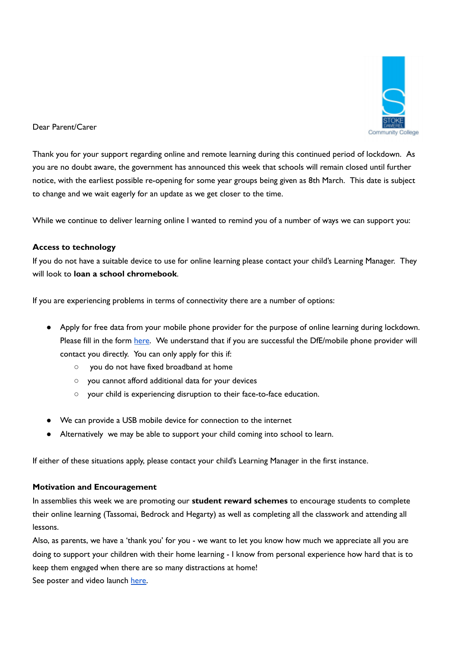

## Dear Parent/Carer

Thank you for your support regarding online and remote learning during this continued period of lockdown. As you are no doubt aware, the government has announced this week that schools will remain closed until further notice, with the earliest possible re-opening for some year groups being given as 8th March. This date is subject to change and we wait eagerly for an update as we get closer to the time.

While we continue to deliver learning online I wanted to remind you of a number of ways we can support you:

## **Access to technology**

If you do not have a suitable device to use for online learning please contact your child's Learning Manager. They will look to **loan a school chromebook**.

If you are experiencing problems in terms of connectivity there are a number of options:

- Apply for free data from your mobile phone provider for the purpose of online learning during lockdown. Please fill in the form [here](https://forms.gle/psRESESMwGsVtmSM8). We understand that if you are successful the DfE/mobile phone provider will contact you directly. You can only apply for this if:
	- you do not have fixed broadband at home
	- you cannot afford additional data for your devices
	- your child is experiencing disruption to their face-to-face education.
- We can provide a USB mobile device for connection to the internet
- Alternatively we may be able to support your child coming into school to learn.

If either of these situations apply, please contact your child's Learning Manager in the first instance.

### **Motivation and Encouragement**

In assemblies this week we are promoting our **student reward schemes** to encourage students to complete their online learning (Tassomai, Bedrock and Hegarty) as well as completing all the classwork and attending all lessons.

Also, as parents, we have a 'thank you' for you - we want to let you know how much we appreciate all you are doing to support your children with their home learning - I know from personal experience how hard that is to keep them engaged when there are so many distractions at home!

See poster and video launch [here.](https://www.sdcc.net/covid)